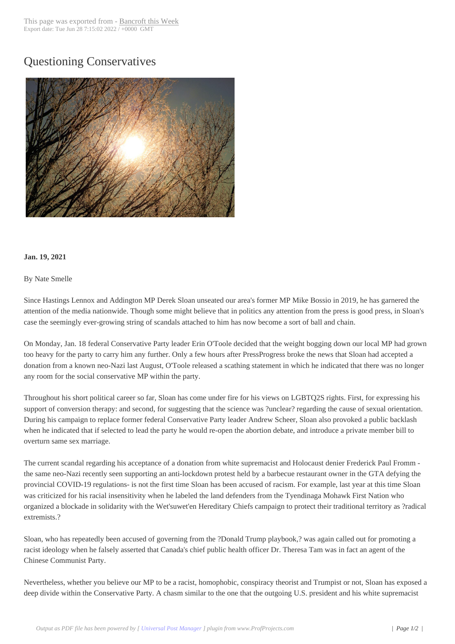## Questioning Conse[rvatives](http://www.bancroftthisweek.com/?p=11231)



## **Jan. 19, 2021**

## By Nate Smelle

Since Hastings Lennox and Addington MP Derek Sloan unseated our area's former MP Mike Bossio in 2019, he has garnered the attention of the media nationwide. Though some might believe that in politics any attention from the press is good press, in Sloan's case the seemingly ever-growing string of scandals attached to him has now become a sort of ball and chain.

On Monday, Jan. 18 federal Conservative Party leader Erin O'Toole decided that the weight bogging down our local MP had grown too heavy for the party to carry him any further. Only a few hours after PressProgress broke the news that Sloan had accepted a donation from a known neo-Nazi last August, O'Toole released a scathing statement in which he indicated that there was no longer any room for the social conservative MP within the party.

Throughout his short political career so far, Sloan has come under fire for his views on LGBTQ2S rights. First, for expressing his support of conversion therapy: and second, for suggesting that the science was ?unclear? regarding the cause of sexual orientation. During his campaign to replace former federal Conservative Party leader Andrew Scheer, Sloan also provoked a public backlash when he indicated that if selected to lead the party he would re-open the abortion debate, and introduce a private member bill to overturn same sex marriage.

The current scandal regarding his acceptance of a donation from white supremacist and Holocaust denier Frederick Paul Fromm the same neo-Nazi recently seen supporting an anti-lockdown protest held by a barbecue restaurant owner in the GTA defying the provincial COVID-19 regulations- is not the first time Sloan has been accused of racism. For example, last year at this time Sloan was criticized for his racial insensitivity when he labeled the land defenders from the Tyendinaga Mohawk First Nation who organized a blockade in solidarity with the Wet'suwet'en Hereditary Chiefs campaign to protect their traditional territory as ?radical extremists.?

Sloan, who has repeatedly been accused of governing from the ?Donald Trump playbook,? was again called out for promoting a racist ideology when he falsely asserted that Canada's chief public health officer Dr. Theresa Tam was in fact an agent of the Chinese Communist Party.

Nevertheless, whether you believe our MP to be a racist, homophobic, conspiracy theorist and Trumpist or not, Sloan has exposed a deep divide within the Conservative Party. A chasm similar to the one that the outgoing U.S. president and his white supremacist